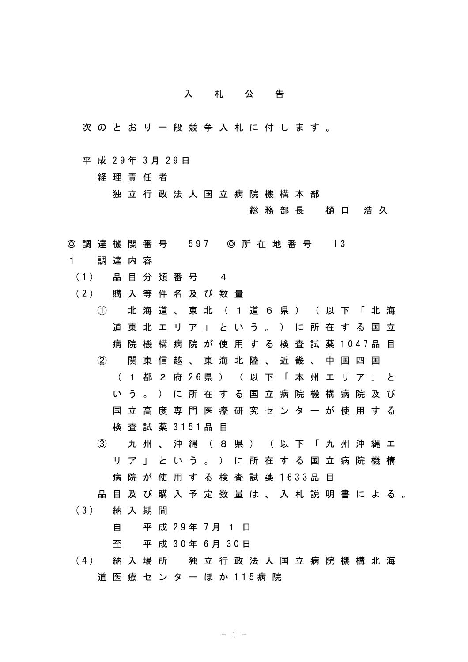## 入札公告

- 次のとおり一般競争入札に付します。
- 平 成 29年 3月 29日

経理責任者

独立行政法人国立病院機構本部

総務部長 樋口 浩久

- ◎ 調 達 機 関 番 号 597 ◎ 所 在 地 番 号 13
- 1 調達内容
	- (1) 品 目 分 類 番 号 4
	- (2) 購 入 等 件 名 及 び 数 量
		- ① 北海道、東北(1道6県)(以下「北海 道東北エリア」という。)に所在する国立 病院機構病院が使用する検査試薬 1047品目 ② 関東信越、東海北陸、近畿、中国四国 ( 1 都 2 府 26県 ) ( 以 下 「 本 州 エ リ ア 」 と いう。)に所在する国立病院機構病院及び 国立高度専門医療研究センターが使用する 検 査 試 薬 3151品 目
			- ③ 九州、沖縄(8県)(以下「九州沖縄エ リア」という。)に所在する国立病院機構 病院が使用する検査試薬 1633品目
		- 品目及び購入予定数量は、入札説明書による。
	- (3) 納 入 期 間

## 自 平 成 29年 7月 1 日

至 平 成 30年 6月 30日

(4) 納 入 場 所 独 立 行 政 法 人 国 立 病 院 機 構 北 海 道 医 療 セ ン タ ー ほ か 115病 院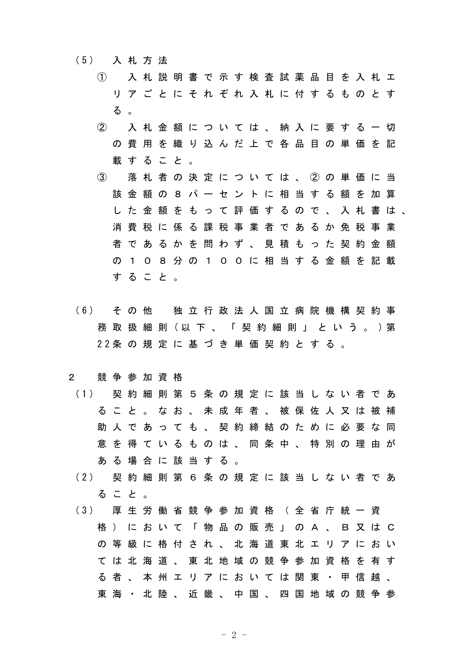- (5) 入 札 方 法
	- ① 入札説明書で示す検査試薬品目を入札エ リアごとにそれぞれ入札に付するものとす る 。
	- ② 入札金額については、納入に要する一切 の費用を織り込んだ上で各品目の単価を記 載すること。
	- ③ 落札者の決定については、②の単価に当 該金額の8パーセントに相当する額を加算 した金額をもって評価するので、入札書は、 消費税に係る課税事業者であるか免税事業 者であるかを問わず、見積もった契約金額 の108分の100に相当する金額を記載 すること。
- (6) そ の 他 独 立 行 政 法 人 国 立 病 院 機 構 契 約 事 務 取 扱 細 則 (以 下 、 「 契 約 細 則 」 と い う 。 )第 22条 の 規 定 に 基 づ き 単 価 契 約 と す る 。

## 2 競争参加資格

- (1) 契 約 細 則 第 5 条 の 規 定 に 該 当 し な い 者 で あ ること。なお、未成年者、被保佐人又は被補 助人であっても、契約締結のために必要な同 意を得ているものは、同条中、特別の理由が ある場合に該当する。
- (2) 契 約 細 則 第 6 条 の 規 定 に 該 当 し な い 者 で あ ること。
- (3) 厚 生 労 働 省 競 争 参 加 資 格 ( 全 省 庁 統 一 資 格)において「物品の販売」のA、B又はC の等級に格付され、北海道東北エリアにおい ては北海道、東北地域の競争参加資格を有す る者、本州エリアにおいては関東・甲信越、 東海 ・ 北 陸 、近 畿 、 中 国 、 四 国 地 域 の 競 争 参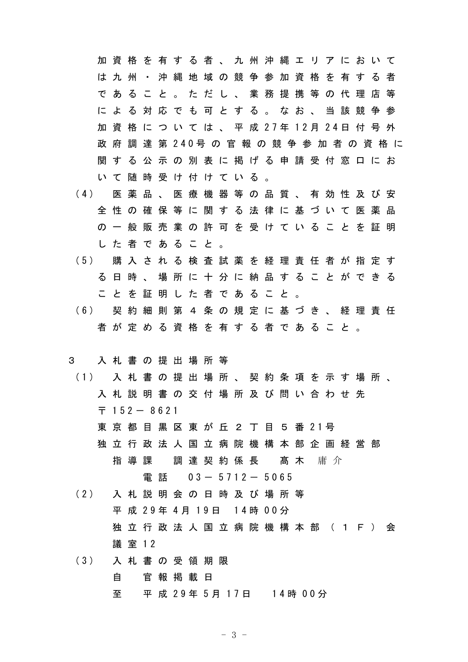加資格を有する者、九州沖縄エリアにおいて は九州・沖縄地域の競争参加資格を有する者 であること。ただし、業務提携等の代理店等 による対応でも可とする。なお、当該競争参 加 資 格 に つ い て は 、 平 成 27年 12月 24日 付 号 外 政 府 調 達 第 240号 の 官 報 の 競 争 参 加 者 の 資 格 に 関する公示の別表に掲げる申請受付窓口にお いて随時受け付けている。

- (4) 医 薬 品 、 医 療 機 器 等 の 品 質 、 有 効 性 及 び 安 全性の確保等に関する法律に基づいて医薬品 の一般販売業の許可を受けていることを証明 した者であること。
- (5) 購 入 さ れ る 検 査 試 薬 を 経 理 責 任 者 が 指 定 す る日時、場所に十分に納品することができる ことを証明した者であること。
- (6) 契 約 細 則 第 4 条 の 規 定 に 基 づ き 、 経 理 責 任 者が定める資格を有する者であること。

## 3 入札書の提出場所等

- (1) 入 札 書 の 提 出 場 所 、 契 約 条 項 を 示 す 場 所 、 入札説明書の交付場所及び問い合わせ先  $\overline{7}$  152 - 8621
	- 東 京 都 目 黒 区 東 が 丘 2 丁 目 5 番 21号
	- 独立行政法人国立病院機構本部企画経営部 指導課 調達契約係長 髙木 庸介 電話 03- 5712- 5065
- (2) 入 札 説 明 会 の 日 時 及 び 場 所 等 平 成 29年 4月 19日 14時 00分 独立行政法人国立病院機構本部 (1F) 会 議 室 12
- (3) 入 札 書 の 受 領 期 限 自 官報掲載日 至 平 成 29年 5月 17日 14時 00分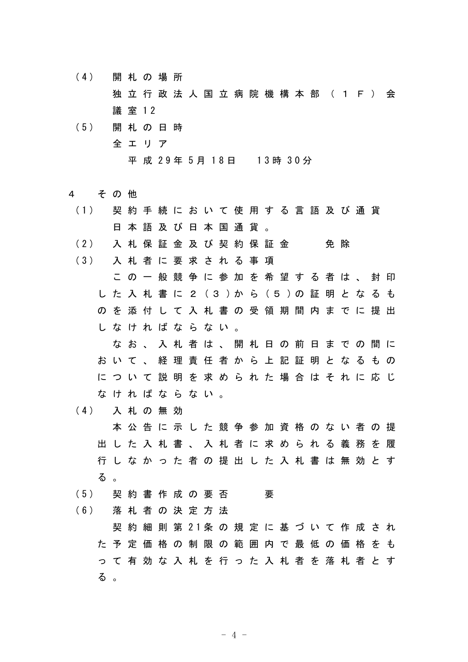- (4) 開 札 の 場 所 独立行政法人国立病院機構本部 (1F) 会 議 室 12
- (5) 開 札 の 日 時 全エリア 平 成 29年 5月 18日 13時 30分
- 4 その他
- (1) 契 約 手 続 に お い て 使 用 す る 言 語 及 び 通 貨 日本語及び日本国通貨。 (2) 入 札 保 証 金 及 び 契 約 保 証 金 の 免 除 (3) 入 札 者 に 要 求 さ れ る 事 項 この一般競争に参加を希望する者は、封印 し た 入 札 書 に 2 (3 )か ら (5 )の 証 明 と な る も のを添付して入札書の受領期間内までに提出 しなければならない。 なお、入札者は、開札日の前日までの間に おいて、経理責任者から上記証明となるもの について説明を求められた場合はそれに応じ なければならない。 (4) 入 札 の 無 効 本公告に示した競争参加資格のない者の提

出した入札書、入札者に求められる義務を履 行しなかった者の提出した入札書は無効とす る 。

(5) 契約書作成の要否 要

(6) 落 札 者 の 決 定 方 法

契 約 細 則 第 21条 の 規 定 に 基 づ い て 作 成 さ れ た予定価格の制限の範囲内で最低の価格をも って有効な入札を行った入札者を落札者とす る 。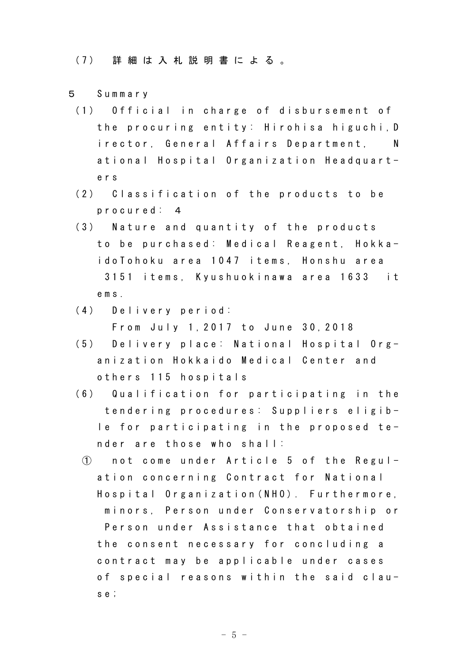(7) 詳 細 は 入 札 説 明 書 に よ る 。

- 5 Summary
	- (1) Official in charge of disbursement of the procuring entity: Hirohisa higuchi,D irector, General Affairs Department, N ational Hospital Organization Headquarters
	- (2) Classification of the products to be procured: 4
	- (3) Nature and quantity of the products to be purchased: Medical Reagent, HokkaidoTohoku area 1047 items, Honshu area 3151 items, Kyushuokinawa area 1633 it ems.
	- (4) Delivery period: From July 1,2017 to June 30,2018
	- (5) Delivery place: National Hospital Organization Hokkaido Medical Center and others 115 hospitals
	- (6) Qualification for participating in the tendering procedures: Suppliers eligible for participating in the proposed tender are those who shall:
	- ① not come under Article 5 of the Regulation concerning Contract for National Hospital Organization(NHO). Furthermore, minors, Person under Conservatorship or Person under Assistance that obtained the consent necessary for concluding a contract may be applicable under cases of special reasons within the said clause;